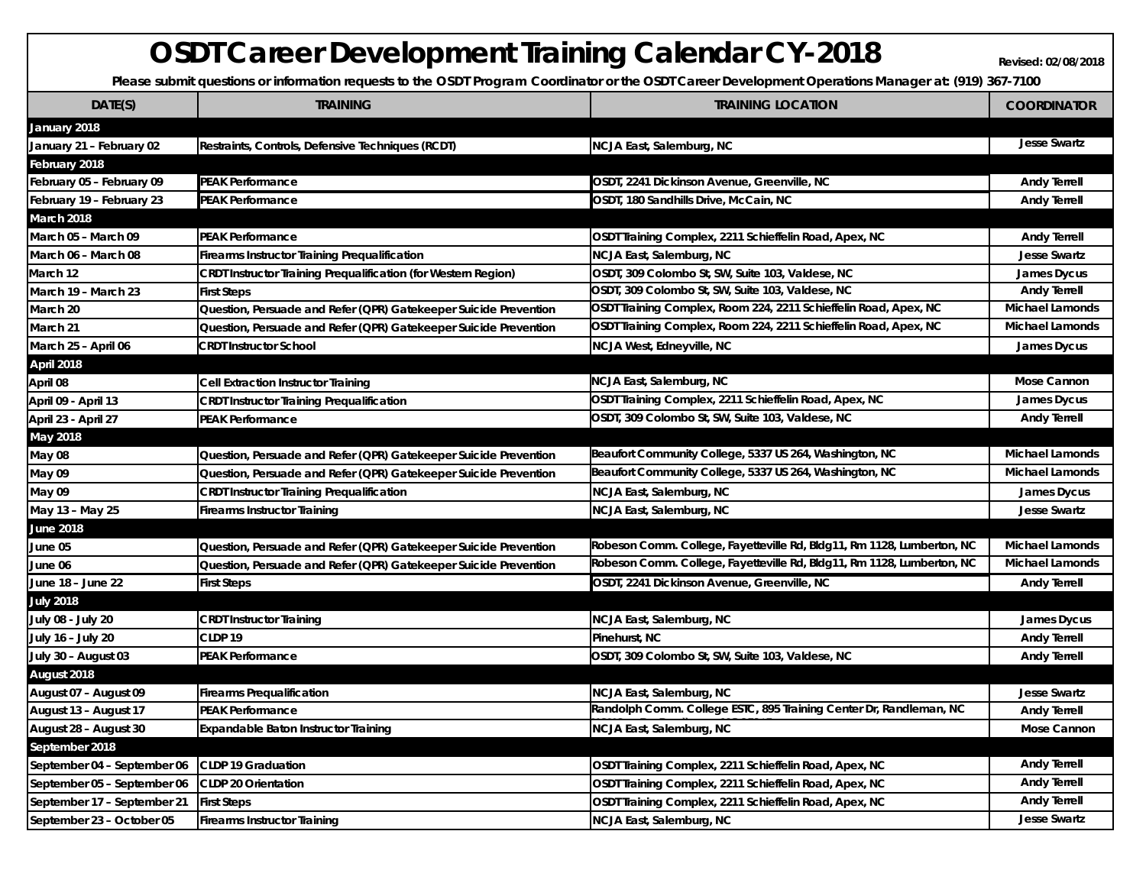## **OSDT** Career Development Training Calendar CY-2018

Please submit questions or information requests to the OSDT Program Coordinator or the OSDT Career Development Operations Manager at: (919) 367-7100

| DATE(S)                     | <b>TRAINING</b>                                                       | <b>TRAINING LOCATION</b>                                               | <b>COORDINATOR</b>     |
|-----------------------------|-----------------------------------------------------------------------|------------------------------------------------------------------------|------------------------|
| January 2018                |                                                                       |                                                                        |                        |
| January 21 - February 02    | Restraints, Controls, Defensive Techniques (RCDT)                     | NCJA East, Salemburg, NC                                               | <b>Jesse Swartz</b>    |
| February 2018               |                                                                       |                                                                        |                        |
| February 05 - February 09   | <b>PEAK Performance</b>                                               | OSDT, 2241 Dickinson Avenue, Greenville, NC                            | <b>Andy Terrell</b>    |
| February 19 – February 23   | <b>PEAK Performance</b>                                               | OSDT, 180 Sandhills Drive, McCain, NC                                  | <b>Andy Terrell</b>    |
| March 2018                  |                                                                       |                                                                        |                        |
| March 05 - March 09         | <b>PEAK Performance</b>                                               | OSDT Training Complex, 2211 Schieffelin Road, Apex, NC                 | <b>Andy Terrell</b>    |
| March 06 – March 08         | Firearms Instructor Training Prequalification                         | NCJA East, Salemburg, NC                                               | <b>Jesse Swartz</b>    |
| March 12                    | <b>CRDT Instructor Training Prequalification (for Western Region)</b> | OSDT, 309 Colombo St, SW, Suite 103, Valdese, NC                       | James Dycus            |
| March 19 – March 23         | <b>First Steps</b>                                                    | OSDT, 309 Colombo St, SW, Suite 103, Valdese, NC                       | <b>Andy Terrell</b>    |
| March 20                    | Question, Persuade and Refer (QPR) Gatekeeper Suicide Prevention      | OSDT Training Complex, Room 224, 2211 Schieffelin Road, Apex, NC       | Michael Lamonds        |
| March 21                    | Question, Persuade and Refer (QPR) Gatekeeper Suicide Prevention      | OSDT Training Complex, Room 224, 2211 Schieffelin Road, Apex, NC       | <b>Michael Lamonds</b> |
| March 25 - April 06         | <b>CRDT Instructor School</b>                                         | NCJA West, Edneyville, NC                                              | James Dycus            |
| <b>April 2018</b>           |                                                                       |                                                                        |                        |
| April 08                    | Cell Extraction Instructor Training                                   | NCJA East, Salemburg, NC                                               | Mose Cannon            |
| April 09 - April 13         | <b>CRDT Instructor Training Prequalification</b>                      | OSDT Training Complex, 2211 Schieffelin Road, Apex, NC                 | <b>James Dycus</b>     |
| April 23 - April 27         | <b>PEAK Performance</b>                                               | OSDT, 309 Colombo St, SW, Suite 103, Valdese, NC                       | <b>Andy Terrell</b>    |
| May 2018                    |                                                                       |                                                                        |                        |
| May 08                      | Question, Persuade and Refer (QPR) Gatekeeper Suicide Prevention      | Beaufort Community College, 5337 US 264, Washington, NC                | <b>Michael Lamonds</b> |
| May 09                      | Question, Persuade and Refer (QPR) Gatekeeper Suicide Prevention      | Beaufort Community College, 5337 US 264, Washington, NC                | <b>Michael Lamonds</b> |
| May 09                      | <b>CRDT Instructor Training Prequalification</b>                      | NCJA East, Salemburg, NC                                               | James Dycus            |
| May 13 - May 25             | Firearms Instructor Training                                          | NCJA East, Salemburg, NC                                               | <b>Jesse Swartz</b>    |
| <b>June 2018</b>            |                                                                       |                                                                        |                        |
| June 05                     | Question, Persuade and Refer (QPR) Gatekeeper Suicide Prevention      | Robeson Comm. College, Fayetteville Rd, Bldg11, Rm 1128, Lumberton, NC | <b>Michael Lamonds</b> |
| June 06                     | Question, Persuade and Refer (QPR) Gatekeeper Suicide Prevention      | Robeson Comm. College, Fayetteville Rd, Bldg11, Rm 1128, Lumberton, NC | <b>Michael Lamonds</b> |
| June 18 – June 22           | <b>First Steps</b>                                                    | OSDT, 2241 Dickinson Avenue, Greenville, NC                            | <b>Andy Terrell</b>    |
| <b>July 2018</b>            |                                                                       |                                                                        |                        |
| July 08 - July 20           | CRDT Instructor Training                                              | NCJA East, Salemburg, NC                                               | James Dycus            |
| July 16 – July 20           | CLDP <sub>19</sub>                                                    | Pinehurst, NC                                                          | <b>Andy Terrell</b>    |
| July 30 - August 03         | <b>PEAK Performance</b>                                               | OSDT, 309 Colombo St, SW, Suite 103, Valdese, NC                       | <b>Andy Terrell</b>    |
| August 2018                 |                                                                       |                                                                        |                        |
| August 07 - August 09       | <b>Firearms Prequalification</b>                                      | NCJA East, Salemburg, NC                                               | <b>Jesse Swartz</b>    |
| August 13 - August 17       | PEAK Performance                                                      | Randolph Comm. College ESTC, 895 Training Center Dr, Randleman, NC     | <b>Andy Terrell</b>    |
| August 28 - August 30       | Expandable Baton Instructor Training                                  | NCJA East, Salemburg, NC                                               | Mose Cannon            |
| September 2018              |                                                                       |                                                                        |                        |
| September 04 - September 06 | <b>CLDP 19 Graduation</b>                                             | OSDT Training Complex, 2211 Schieffelin Road, Apex, NC                 | <b>Andy Terrell</b>    |
| September 05 - September 06 | <b>CLDP 20 Orientation</b>                                            | OSDT Training Complex, 2211 Schieffelin Road, Apex, NC                 | <b>Andy Terrell</b>    |
| September 17 - September 21 | <b>First Steps</b>                                                    | OSDT Training Complex, 2211 Schieffelin Road, Apex, NC                 | <b>Andy Terrell</b>    |
| September 23 - October 05   | <b>Firearms Instructor Training</b>                                   | NCJA East, Salemburg, NC                                               | <b>Jesse Swartz</b>    |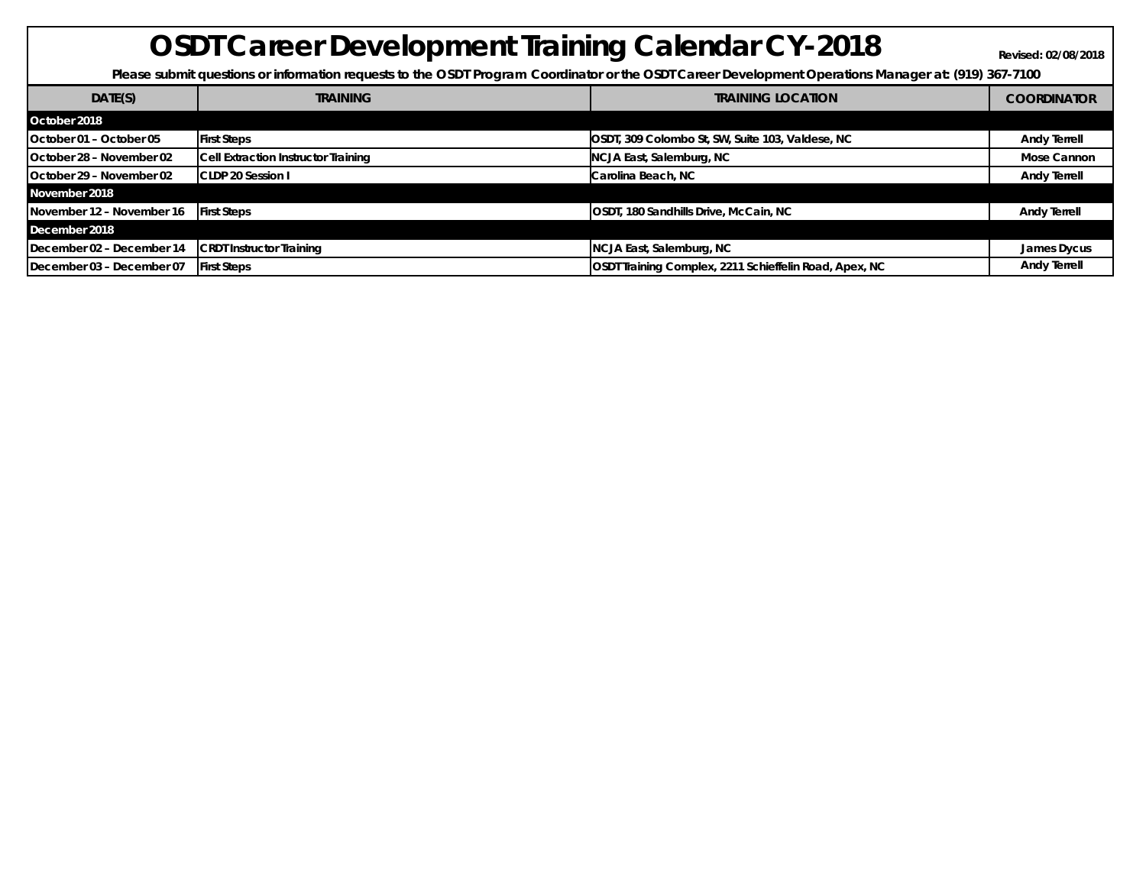## **OSDT Career Development Training Calendar CY-2018 Revised: 02/08/2018**

Please submit questions or information requests to the OSDT Program Coordinator or the OSDT Career Development Operations Manager at: (919) 367-7100

| DATE(S)                   | <b>TRAINING</b>                     | <b>TRAINING LOCATION</b>                               | <b>COORDINATOR</b>  |
|---------------------------|-------------------------------------|--------------------------------------------------------|---------------------|
| October 2018              |                                     |                                                        |                     |
| October 01 - October 05   | <b>First Steps</b>                  | OSDT, 309 Colombo St, SW, Suite 103, Valdese, NC       | <b>Andy Terrell</b> |
| October 28 - November 02  | Cell Extraction Instructor Training | NCJA East, Salemburg, NC                               | Mose Cannon         |
| October 29 - November 02  | <b>CLDP 20 Session I</b>            | Carolina Beach, NC                                     | <b>Andy Terrell</b> |
| November 2018             |                                     |                                                        |                     |
| November 12 - November 16 | <b>First Steps</b>                  | OSDT, 180 Sandhills Drive, McCain, NC                  | <b>Andy Terrell</b> |
| December 2018             |                                     |                                                        |                     |
| December 02 - December 14 | <b>CRDT Instructor Training</b>     | NCJA East, Salemburg, NC                               | James Dycus         |
| December 03 - December 07 | <b>First Steps</b>                  | OSDT Training Complex, 2211 Schieffelin Road, Apex, NC | <b>Andy Terrell</b> |